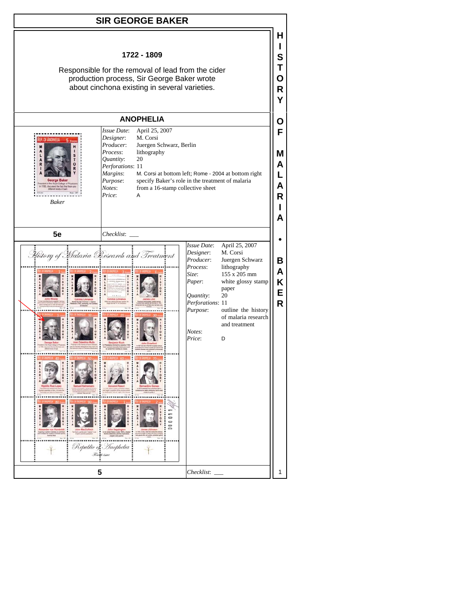